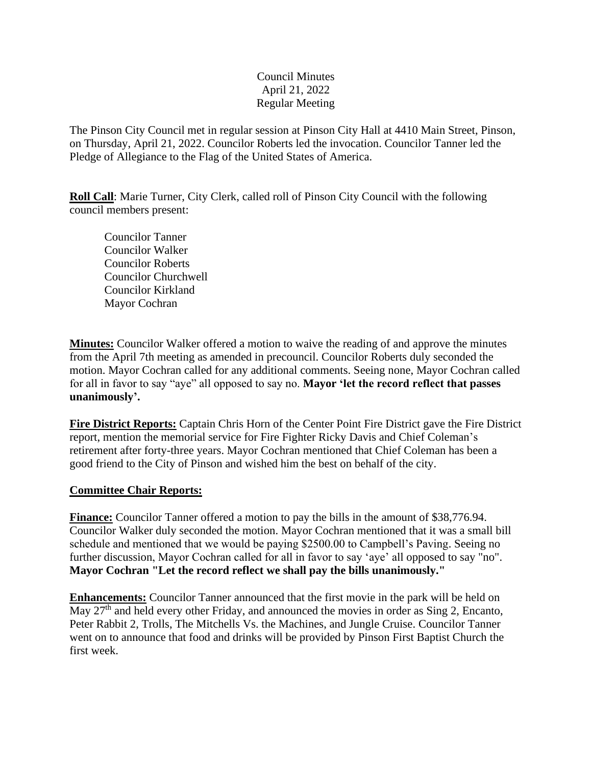### Council Minutes April 21, 2022 Regular Meeting

The Pinson City Council met in regular session at Pinson City Hall at 4410 Main Street, Pinson, on Thursday, April 21, 2022. Councilor Roberts led the invocation. Councilor Tanner led the Pledge of Allegiance to the Flag of the United States of America.

**Roll Call**: Marie Turner, City Clerk, called roll of Pinson City Council with the following council members present:

Councilor Tanner Councilor Walker Councilor Roberts Councilor Churchwell Councilor Kirkland Mayor Cochran

**Minutes:** Councilor Walker offered a motion to waive the reading of and approve the minutes from the April 7th meeting as amended in precouncil. Councilor Roberts duly seconded the motion. Mayor Cochran called for any additional comments. Seeing none, Mayor Cochran called for all in favor to say "aye" all opposed to say no. **Mayor 'let the record reflect that passes unanimously'.** 

**Fire District Reports:** Captain Chris Horn of the Center Point Fire District gave the Fire District report, mention the memorial service for Fire Fighter Ricky Davis and Chief Coleman's retirement after forty-three years. Mayor Cochran mentioned that Chief Coleman has been a good friend to the City of Pinson and wished him the best on behalf of the city.

### **Committee Chair Reports:**

**Finance:** Councilor Tanner offered a motion to pay the bills in the amount of \$38,776.94. Councilor Walker duly seconded the motion. Mayor Cochran mentioned that it was a small bill schedule and mentioned that we would be paying \$2500.00 to Campbell's Paving. Seeing no further discussion, Mayor Cochran called for all in favor to say 'aye' all opposed to say "no". **Mayor Cochran "Let the record reflect we shall pay the bills unanimously."**

**Enhancements:** Councilor Tanner announced that the first movie in the park will be held on May 27<sup>th</sup> and held every other Friday, and announced the movies in order as Sing 2, Encanto, Peter Rabbit 2, Trolls, The Mitchells Vs. the Machines, and Jungle Cruise. Councilor Tanner went on to announce that food and drinks will be provided by Pinson First Baptist Church the first week.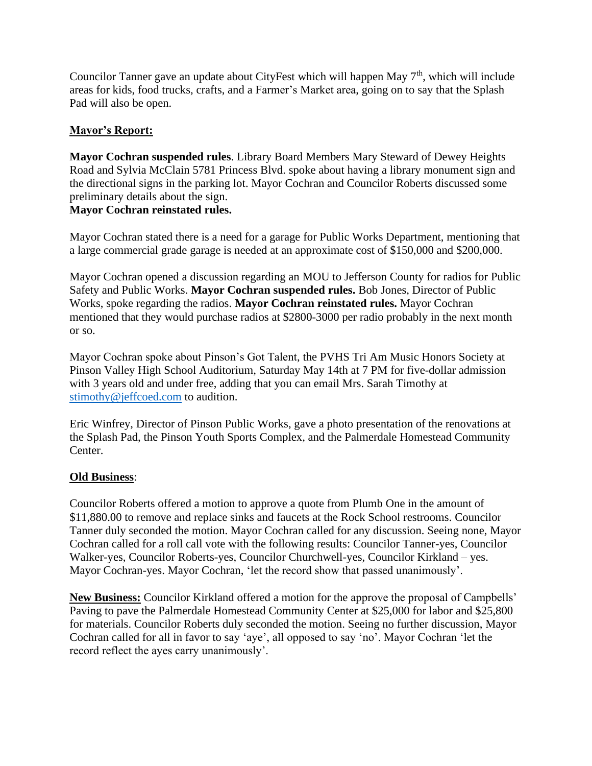Councilor Tanner gave an update about CityFest which will happen May  $7<sup>th</sup>$ , which will include areas for kids, food trucks, crafts, and a Farmer's Market area, going on to say that the Splash Pad will also be open.

# **Mayor's Report:**

**Mayor Cochran suspended rules**. Library Board Members Mary Steward of Dewey Heights Road and Sylvia McClain 5781 Princess Blvd. spoke about having a library monument sign and the directional signs in the parking lot. Mayor Cochran and Councilor Roberts discussed some preliminary details about the sign.

### **Mayor Cochran reinstated rules.**

Mayor Cochran stated there is a need for a garage for Public Works Department, mentioning that a large commercial grade garage is needed at an approximate cost of \$150,000 and \$200,000.

Mayor Cochran opened a discussion regarding an MOU to Jefferson County for radios for Public Safety and Public Works. **Mayor Cochran suspended rules.** Bob Jones, Director of Public Works, spoke regarding the radios. **Mayor Cochran reinstated rules.** Mayor Cochran mentioned that they would purchase radios at \$2800-3000 per radio probably in the next month or so.

Mayor Cochran spoke about Pinson's Got Talent, the PVHS Tri Am Music Honors Society at Pinson Valley High School Auditorium, Saturday May 14th at 7 PM for five-dollar admission with 3 years old and under free, adding that you can email Mrs. Sarah Timothy at [stimothy@jeffcoed.com](mailto:stimothy@jeffcoed.com) to audition.

Eric Winfrey, Director of Pinson Public Works, gave a photo presentation of the renovations at the Splash Pad, the Pinson Youth Sports Complex, and the Palmerdale Homestead Community Center.

#### **Old Business**:

Councilor Roberts offered a motion to approve a quote from Plumb One in the amount of \$11,880.00 to remove and replace sinks and faucets at the Rock School restrooms. Councilor Tanner duly seconded the motion. Mayor Cochran called for any discussion. Seeing none, Mayor Cochran called for a roll call vote with the following results: Councilor Tanner-yes, Councilor Walker-yes, Councilor Roberts-yes, Councilor Churchwell-yes, Councilor Kirkland – yes. Mayor Cochran-yes. Mayor Cochran, 'let the record show that passed unanimously'.

**New Business:** Councilor Kirkland offered a motion for the approve the proposal of Campbells' Paving to pave the Palmerdale Homestead Community Center at \$25,000 for labor and \$25,800 for materials. Councilor Roberts duly seconded the motion. Seeing no further discussion, Mayor Cochran called for all in favor to say 'aye', all opposed to say 'no'. Mayor Cochran 'let the record reflect the ayes carry unanimously'.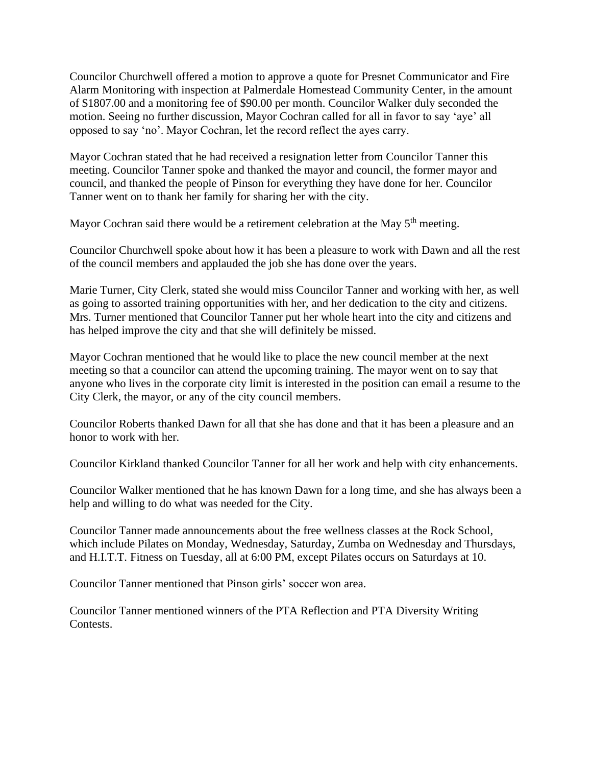Councilor Churchwell offered a motion to approve a quote for Presnet Communicator and Fire Alarm Monitoring with inspection at Palmerdale Homestead Community Center, in the amount of \$1807.00 and a monitoring fee of \$90.00 per month. Councilor Walker duly seconded the motion. Seeing no further discussion, Mayor Cochran called for all in favor to say 'aye' all opposed to say 'no'. Mayor Cochran, let the record reflect the ayes carry.

Mayor Cochran stated that he had received a resignation letter from Councilor Tanner this meeting. Councilor Tanner spoke and thanked the mayor and council, the former mayor and council, and thanked the people of Pinson for everything they have done for her. Councilor Tanner went on to thank her family for sharing her with the city.

Mayor Cochran said there would be a retirement celebration at the May  $5<sup>th</sup>$  meeting.

Councilor Churchwell spoke about how it has been a pleasure to work with Dawn and all the rest of the council members and applauded the job she has done over the years.

Marie Turner, City Clerk, stated she would miss Councilor Tanner and working with her, as well as going to assorted training opportunities with her, and her dedication to the city and citizens. Mrs. Turner mentioned that Councilor Tanner put her whole heart into the city and citizens and has helped improve the city and that she will definitely be missed.

Mayor Cochran mentioned that he would like to place the new council member at the next meeting so that a councilor can attend the upcoming training. The mayor went on to say that anyone who lives in the corporate city limit is interested in the position can email a resume to the City Clerk, the mayor, or any of the city council members.

Councilor Roberts thanked Dawn for all that she has done and that it has been a pleasure and an honor to work with her.

Councilor Kirkland thanked Councilor Tanner for all her work and help with city enhancements.

Councilor Walker mentioned that he has known Dawn for a long time, and she has always been a help and willing to do what was needed for the City.

Councilor Tanner made announcements about the free wellness classes at the Rock School, which include Pilates on Monday, Wednesday, Saturday, Zumba on Wednesday and Thursdays, and H.I.T.T. Fitness on Tuesday, all at 6:00 PM, except Pilates occurs on Saturdays at 10.

Councilor Tanner mentioned that Pinson girls' soccer won area.

Councilor Tanner mentioned winners of the PTA Reflection and PTA Diversity Writing Contests.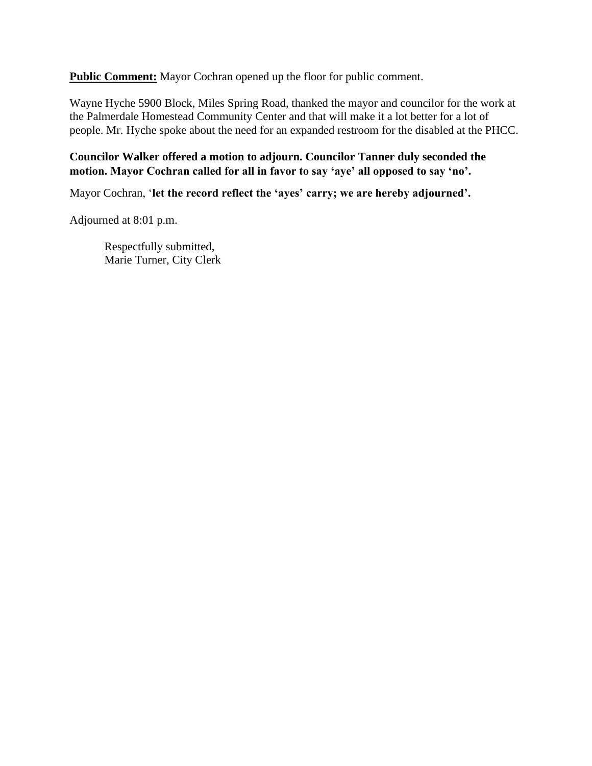**Public Comment:** Mayor Cochran opened up the floor for public comment.

Wayne Hyche 5900 Block, Miles Spring Road, thanked the mayor and councilor for the work at the Palmerdale Homestead Community Center and that will make it a lot better for a lot of people. Mr. Hyche spoke about the need for an expanded restroom for the disabled at the PHCC.

## **Councilor Walker offered a motion to adjourn. Councilor Tanner duly seconded the motion. Mayor Cochran called for all in favor to say 'aye' all opposed to say 'no'.**

Mayor Cochran, '**let the record reflect the 'ayes' carry; we are hereby adjourned'.**

Adjourned at 8:01 p.m.

Respectfully submitted, Marie Turner, City Clerk